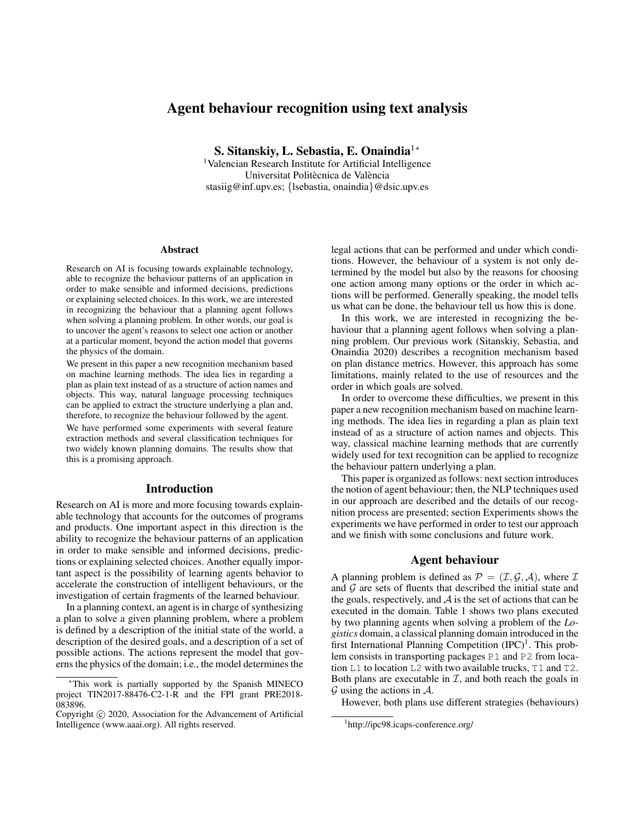# Agent behaviour recognition using text analysis

S. Sitanskiy, L. Sebastia, E. Onaindia<sup>1</sup><sup>∗</sup>

<sup>1</sup>Valencian Research Institute for Artificial Intelligence Universitat Politècnica de València stasiig@inf.upv.es; {lsebastia, onaindia}@dsic.upv.es

#### **Abstract**

Research on AI is focusing towards explainable technology, able to recognize the behaviour patterns of an application in order to make sensible and informed decisions, predictions or explaining selected choices. In this work, we are interested in recognizing the behaviour that a planning agent follows when solving a planning problem. In other words, our goal is to uncover the agent's reasons to select one action or another at a particular moment, beyond the action model that governs the physics of the domain.

We present in this paper a new recognition mechanism based on machine learning methods. The idea lies in regarding a plan as plain text instead of as a structure of action names and objects. This way, natural language processing techniques can be applied to extract the structure underlying a plan and, therefore, to recognize the behaviour followed by the agent.

We have performed some experiments with several feature extraction methods and several classification techniques for two widely known planning domains. The results show that this is a promising approach.

#### Introduction

Research on AI is more and more focusing towards explainable technology that accounts for the outcomes of programs and products. One important aspect in this direction is the ability to recognize the behaviour patterns of an application in order to make sensible and informed decisions, predictions or explaining selected choices. Another equally important aspect is the possibility of learning agents behavior to accelerate the construction of intelligent behaviours, or the investigation of certain fragments of the learned behaviour.

In a planning context, an agent is in charge of synthesizing a plan to solve a given planning problem, where a problem is defined by a description of the initial state of the world, a description of the desired goals, and a description of a set of possible actions. The actions represent the model that governs the physics of the domain; i.e., the model determines the

legal actions that can be performed and under which conditions. However, the behaviour of a system is not only determined by the model but also by the reasons for choosing one action among many options or the order in which actions will be performed. Generally speaking, the model tells us what can be done, the behaviour tell us how this is done.

In this work, we are interested in recognizing the behaviour that a planning agent follows when solving a planning problem. Our previous work (Sitanskiy, Sebastia, and Onaindia 2020) describes a recognition mechanism based on plan distance metrics. However, this approach has some limitations, mainly related to the use of resources and the order in which goals are solved.

In order to overcome these difficulties, we present in this paper a new recognition mechanism based on machine learning methods. The idea lies in regarding a plan as plain text instead of as a structure of action names and objects. This way, classical machine learning methods that are currently widely used for text recognition can be applied to recognize the behaviour pattern underlying a plan.

This paper is organized as follows: next section introduces the notion of agent behaviour; then, the NLP techniques used in our approach are described and the details of our recognition process are presented; section Experiments shows the experiments we have performed in order to test our approach and we finish with some conclusions and future work.

## Agent behaviour

A planning problem is defined as  $P = (\mathcal{I}, \mathcal{G}, \mathcal{A})$ , where  $\mathcal{I}$ and  $G$  are sets of fluents that described the initial state and the goals, respectively, and  $A$  is the set of actions that can be executed in the domain. Table 1 shows two plans executed by two planning agents when solving a problem of the *Logistics* domain, a classical planning domain introduced in the first International Planning Competition  $(IPC)^1$ . This problem consists in transporting packages P1 and P2 from location L1 to location L2 with two available trucks, T1 and T2. Both plans are executable in  $I$ , and both reach the goals in  $G$  using the actions in  $A$ .

However, both plans use different strategies (behaviours)

This work is partially supported by the Spanish MINECO project TIN2017-88476-C2-1-R and the FPI grant PRE2018- 083896.

Copyright (c) 2020, Association for the Advancement of Artificial Intelligence (www.aaai.org). All rights reserved.

<sup>1</sup> http://ipc98.icaps-conference.org/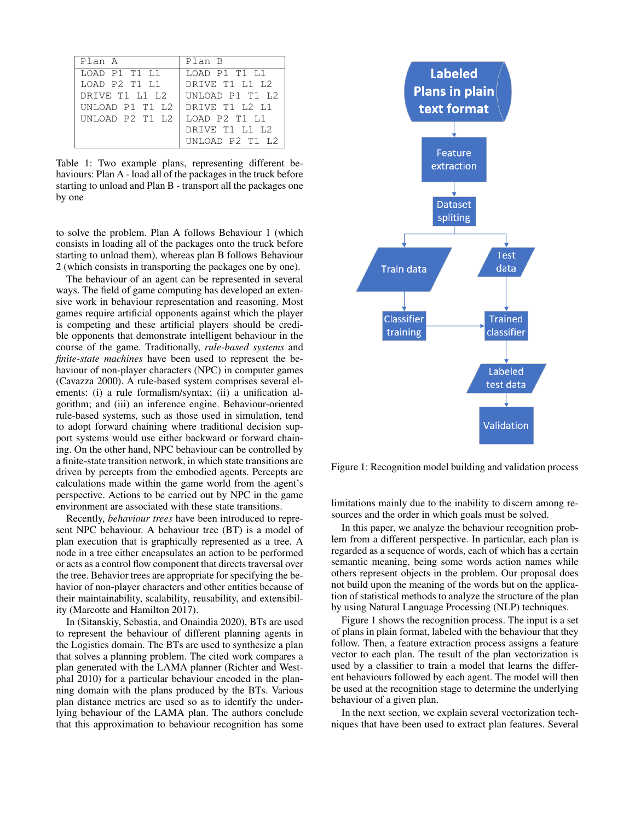| Plan A          | Plan B          |
|-----------------|-----------------|
| LOAD P1 T1 L1   | LOAD P1 T1 L1   |
| LOAD P2 T1 L1   | DRIVE T1 L1 L2  |
| DRIVE T1 L1 L2  | UNLOAD P1 T1 L2 |
| UNLOAD P1 T1 L2 | DRIVE T1 L2 L1  |
| UNLOAD P2 T1 L2 | LOAD P2 T1 L1   |
|                 | DRIVE T1 L1 L2  |
|                 | UNLOAD P2 T1 L2 |

Table 1: Two example plans, representing different behaviours: Plan A - load all of the packages in the truck before starting to unload and Plan B - transport all the packages one by one

to solve the problem. Plan A follows Behaviour 1 (which consists in loading all of the packages onto the truck before starting to unload them), whereas plan B follows Behaviour 2 (which consists in transporting the packages one by one).

The behaviour of an agent can be represented in several ways. The field of game computing has developed an extensive work in behaviour representation and reasoning. Most games require artificial opponents against which the player is competing and these artificial players should be credible opponents that demonstrate intelligent behaviour in the course of the game. Traditionally, *rule-based systems* and *finite-state machines* have been used to represent the behaviour of non-player characters (NPC) in computer games (Cavazza 2000). A rule-based system comprises several elements: (i) a rule formalism/syntax; (ii) a unification algorithm; and (iii) an inference engine. Behaviour-oriented rule-based systems, such as those used in simulation, tend to adopt forward chaining where traditional decision support systems would use either backward or forward chaining. On the other hand, NPC behaviour can be controlled by a finite-state transition network, in which state transitions are driven by percepts from the embodied agents. Percepts are calculations made within the game world from the agent's perspective. Actions to be carried out by NPC in the game environment are associated with these state transitions.

Recently, *behaviour trees* have been introduced to represent NPC behaviour. A behaviour tree (BT) is a model of plan execution that is graphically represented as a tree. A node in a tree either encapsulates an action to be performed or acts as a control flow component that directs traversal over the tree. Behavior trees are appropriate for specifying the behavior of non-player characters and other entities because of their maintainability, scalability, reusability, and extensibility (Marcotte and Hamilton 2017).

In (Sitanskiy, Sebastia, and Onaindia 2020), BTs are used to represent the behaviour of different planning agents in the Logistics domain. The BTs are used to synthesize a plan that solves a planning problem. The cited work compares a plan generated with the LAMA planner (Richter and Westphal 2010) for a particular behaviour encoded in the planning domain with the plans produced by the BTs. Various plan distance metrics are used so as to identify the underlying behaviour of the LAMA plan. The authors conclude that this approximation to behaviour recognition has some



Figure 1: Recognition model building and validation process

limitations mainly due to the inability to discern among resources and the order in which goals must be solved.

In this paper, we analyze the behaviour recognition problem from a different perspective. In particular, each plan is regarded as a sequence of words, each of which has a certain semantic meaning, being some words action names while others represent objects in the problem. Our proposal does not build upon the meaning of the words but on the application of statistical methods to analyze the structure of the plan by using Natural Language Processing (NLP) techniques.

Figure 1 shows the recognition process. The input is a set of plans in plain format, labeled with the behaviour that they follow. Then, a feature extraction process assigns a feature vector to each plan. The result of the plan vectorization is used by a classifier to train a model that learns the different behaviours followed by each agent. The model will then be used at the recognition stage to determine the underlying behaviour of a given plan.

In the next section, we explain several vectorization techniques that have been used to extract plan features. Several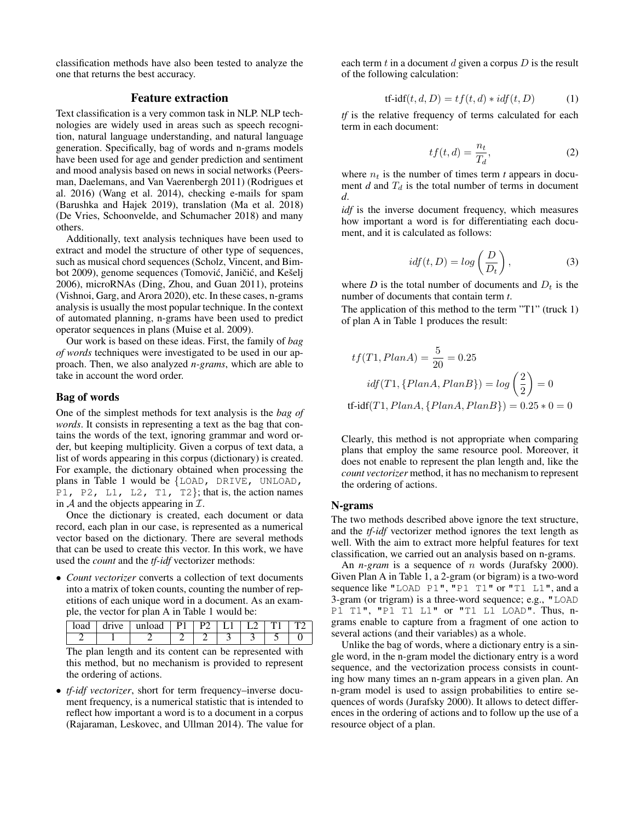classification methods have also been tested to analyze the one that returns the best accuracy.

### Feature extraction

Text classification is a very common task in NLP. NLP technologies are widely used in areas such as speech recognition, natural language understanding, and natural language generation. Specifically, bag of words and n-grams models have been used for age and gender prediction and sentiment and mood analysis based on news in social networks (Peersman, Daelemans, and Van Vaerenbergh 2011) (Rodrigues et al. 2016) (Wang et al. 2014), checking e-mails for spam (Barushka and Hajek 2019), translation (Ma et al. 2018) (De Vries, Schoonvelde, and Schumacher 2018) and many others.

Additionally, text analysis techniques have been used to extract and model the structure of other type of sequences, such as musical chord sequences (Scholz, Vincent, and Bimbot 2009), genome sequences (Tomović, Janičić, and Kešelj 2006), microRNAs (Ding, Zhou, and Guan 2011), proteins (Vishnoi, Garg, and Arora 2020), etc. In these cases, n-grams analysis is usually the most popular technique. In the context of automated planning, n-grams have been used to predict operator sequences in plans (Muise et al. 2009).

Our work is based on these ideas. First, the family of *bag of words* techniques were investigated to be used in our approach. Then, we also analyzed *n-grams*, which are able to take in account the word order.

#### Bag of words

One of the simplest methods for text analysis is the *bag of words*. It consists in representing a text as the bag that contains the words of the text, ignoring grammar and word order, but keeping multiplicity. Given a corpus of text data, a list of words appearing in this corpus (dictionary) is created. For example, the dictionary obtained when processing the plans in Table 1 would be {LOAD, DRIVE, UNLOAD, P1, P2, L1, L2, T1, T2}; that is, the action names in  $A$  and the objects appearing in  $I$ .

Once the dictionary is created, each document or data record, each plan in our case, is represented as a numerical vector based on the dictionary. There are several methods that can be used to create this vector. In this work, we have used the *count* and the *tf-idf* vectorizer methods:

• *Count vectorizer* converts a collection of text documents into a matrix of token counts, counting the number of repetitions of each unique word in a document. As an example, the vector for plan A in Table 1 would be:

| 10 |  |  |  |  |
|----|--|--|--|--|
|    |  |  |  |  |

The plan length and its content can be represented with this method, but no mechanism is provided to represent the ordering of actions.

• *tf-idf vectorizer*, short for term frequency–inverse document frequency, is a numerical statistic that is intended to reflect how important a word is to a document in a corpus (Rajaraman, Leskovec, and Ullman 2014). The value for

each term  $t$  in a document  $d$  given a corpus  $D$  is the result of the following calculation:

$$
tf-idf(t, d, D) = tf(t, d) * idf(t, D)
$$
\n(1)

*tf* is the relative frequency of terms calculated for each term in each document:

$$
tf(t,d) = \frac{n_t}{T_d},\tag{2}
$$

where  $n_t$  is the number of times term *t* appears in document *d* and  $T_d$  is the total number of terms in document *d*.

*idf* is the inverse document frequency, which measures how important a word is for differentiating each document, and it is calculated as follows:

$$
idf(t, D) = log\left(\frac{D}{D_t}\right),
$$
\n(3)

where  $D$  is the total number of documents and  $D_t$  is the number of documents that contain term *t*.

The application of this method to the term "T1" (truck 1) of plan A in Table 1 produces the result:

$$
tf(T1, PlanA) = \frac{5}{20} = 0.25
$$
  

$$
idf(T1, \{PlanA, PlanB\}) = log\left(\frac{2}{2}\right) = 0
$$

tf-idf(T1,  $PlanA$ ,  $\{PlanA, PlanB\}$ ) = 0.25  $*$  0 = 0

Clearly, this method is not appropriate when comparing plans that employ the same resource pool. Moreover, it does not enable to represent the plan length and, like the *count vectorizer* method, it has no mechanism to represent the ordering of actions.

#### N-grams

The two methods described above ignore the text structure, and the *tf-idf* vectorizer method ignores the text length as well. With the aim to extract more helpful features for text classification, we carried out an analysis based on n-grams.

An *n-gram* is a sequence of *n* words (Jurafsky 2000). Given Plan A in Table 1, a 2-gram (or bigram) is a two-word sequence like "LOAD P1", "P1 T1" or "T1 L1", and a 3-gram (or trigram) is a three-word sequence; e.g., "LOAD P1 T1", "P1 T1 L1" or "T1 L1 LOAD". Thus, ngrams enable to capture from a fragment of one action to several actions (and their variables) as a whole.

Unlike the bag of words, where a dictionary entry is a single word, in the n-gram model the dictionary entry is a word sequence, and the vectorization process consists in counting how many times an n-gram appears in a given plan. An n-gram model is used to assign probabilities to entire sequences of words (Jurafsky 2000). It allows to detect differences in the ordering of actions and to follow up the use of a resource object of a plan.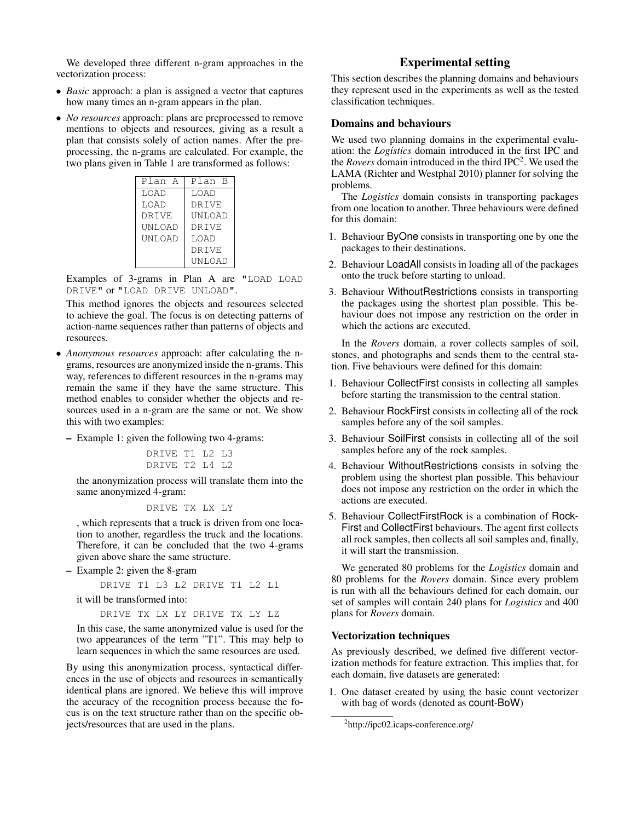We developed three different n-gram approaches in the vectorization process:

- *Basic* approach: a plan is assigned a vector that captures how many times an n-gram appears in the plan.
- *No resources* approach: plans are preprocessed to remove mentions to objects and resources, giving as a result a plan that consists solely of action names. After the preprocessing, the n-grams are calculated. For example, the two plans given in Table 1 are transformed as follows:

| Plan A        | Plan B |  |  |
|---------------|--------|--|--|
| LOAD          | LOAD   |  |  |
| LOAD          | DRIVE  |  |  |
| DRIVE         | UNLOAD |  |  |
| <b>UNLOAD</b> | DR TVE |  |  |
| <b>UNLOAD</b> | LOAD   |  |  |
|               | DRIVE  |  |  |
|               | UNLOAD |  |  |

Examples of 3-grams in Plan A are "LOAD LOAD DRIVE" or "LOAD DRIVE UNLOAD".

This method ignores the objects and resources selected to achieve the goal. The focus is on detecting patterns of action-name sequences rather than patterns of objects and resources.

- *Anonymous resources* approach: after calculating the ngrams, resources are anonymized inside the n-grams. This way, references to different resources in the n-grams may remain the same if they have the same structure. This method enables to consider whether the objects and resources used in a n-gram are the same or not. We show this with two examples:
	- Example 1: given the following two 4-grams:

DRIVE T1 L2 L3 DRIVE T2 L4 L2

the anonymization process will translate them into the same anonymized 4-gram:

```
DRIVE TX LX LY
```
, which represents that a truck is driven from one location to another, regardless the truck and the locations. Therefore, it can be concluded that the two 4-grams given above share the same structure.

– Example 2: given the 8-gram

DRIVE T1 L3 L2 DRIVE T1 L2 L1

it will be transformed into:

DRIVE TX LX LY DRIVE TX LY LZ

In this case, the same anonymized value is used for the two appearances of the term "T1". This may help to learn sequences in which the same resources are used.

By using this anonymization process, syntactical differences in the use of objects and resources in semantically identical plans are ignored. We believe this will improve the accuracy of the recognition process because the focus is on the text structure rather than on the specific objects/resources that are used in the plans.

## Experimental setting

This section describes the planning domains and behaviours they represent used in the experiments as well as the tested classification techniques.

#### Domains and behaviours

We used two planning domains in the experimental evaluation: the *Logistics* domain introduced in the first IPC and the *Rovers* domain introduced in the third IPC<sup>2</sup>. We used the LAMA (Richter and Westphal 2010) planner for solving the problems.

The *Logistics* domain consists in transporting packages from one location to another. Three behaviours were defined for this domain:

- 1. Behaviour ByOne consists in transporting one by one the packages to their destinations.
- 2. Behaviour LoadAll consists in loading all of the packages onto the truck before starting to unload.
- 3. Behaviour WithoutRestrictions consists in transporting the packages using the shortest plan possible. This behaviour does not impose any restriction on the order in which the actions are executed.

In the *Rovers* domain, a rover collects samples of soil, stones, and photographs and sends them to the central station. Five behaviours were defined for this domain:

- 1. Behaviour CollectFirst consists in collecting all samples before starting the transmission to the central station.
- 2. Behaviour RockFirst consists in collecting all of the rock samples before any of the soil samples.
- 3. Behaviour SoilFirst consists in collecting all of the soil samples before any of the rock samples.
- 4. Behaviour WithoutRestrictions consists in solving the problem using the shortest plan possible. This behaviour does not impose any restriction on the order in which the actions are executed.
- 5. Behaviour CollectFirstRock is a combination of Rock-First and CollectFirst behaviours. The agent first collects all rock samples, then collects all soil samples and, finally, it will start the transmission.

We generated 80 problems for the *Logistics* domain and 80 problems for the *Rovers* domain. Since every problem is run with all the behaviours defined for each domain, our set of samples will contain 240 plans for *Logistics* and 400 plans for *Rovers* domain.

#### Vectorization techniques

As previously described, we defined five different vectorization methods for feature extraction. This implies that, for each domain, five datasets are generated:

1. One dataset created by using the basic count vectorizer with bag of words (denoted as count-BoW)

<sup>2</sup> http://ipc02.icaps-conference.org/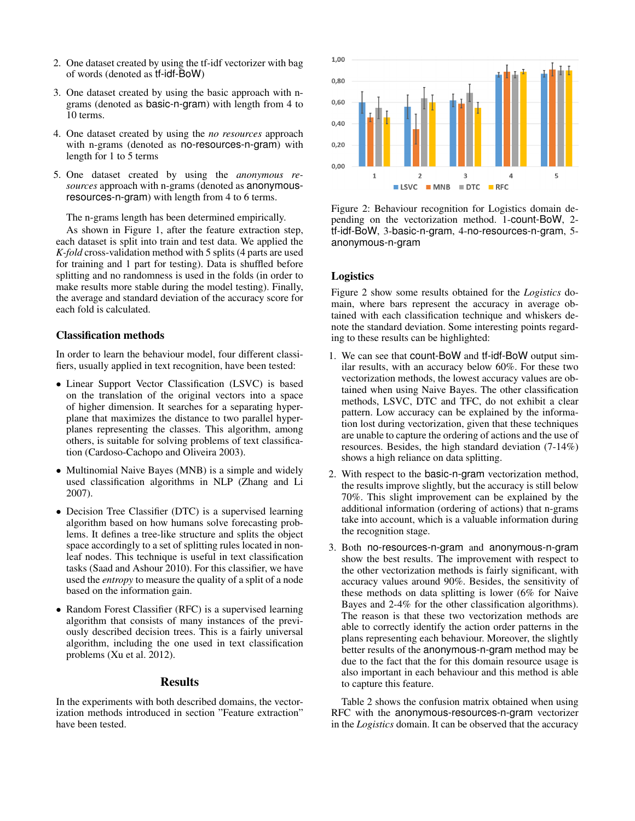- 2. One dataset created by using the tf-idf vectorizer with bag of words (denoted as tf-idf-BoW)
- 3. One dataset created by using the basic approach with ngrams (denoted as basic-n-gram) with length from 4 to 10 terms.
- 4. One dataset created by using the *no resources* approach with n-grams (denoted as no-resources-n-gram) with length for 1 to 5 terms
- 5. One dataset created by using the *anonymous resources* approach with n-grams (denoted as anonymousresources-n-gram) with length from 4 to 6 terms.

The n-grams length has been determined empirically.

As shown in Figure 1, after the feature extraction step, each dataset is split into train and test data. We applied the *K-fold* cross-validation method with 5 splits (4 parts are used for training and 1 part for testing). Data is shuffled before splitting and no randomness is used in the folds (in order to make results more stable during the model testing). Finally, the average and standard deviation of the accuracy score for each fold is calculated.

## Classification methods

In order to learn the behaviour model, four different classifiers, usually applied in text recognition, have been tested:

- Linear Support Vector Classification (LSVC) is based on the translation of the original vectors into a space of higher dimension. It searches for a separating hyperplane that maximizes the distance to two parallel hyperplanes representing the classes. This algorithm, among others, is suitable for solving problems of text classification (Cardoso-Cachopo and Oliveira 2003).
- Multinomial Naive Bayes (MNB) is a simple and widely used classification algorithms in NLP (Zhang and Li 2007).
- Decision Tree Classifier (DTC) is a supervised learning algorithm based on how humans solve forecasting problems. It defines a tree-like structure and splits the object space accordingly to a set of splitting rules located in nonleaf nodes. This technique is useful in text classification tasks (Saad and Ashour 2010). For this classifier, we have used the *entropy* to measure the quality of a split of a node based on the information gain.
- Random Forest Classifier (RFC) is a supervised learning algorithm that consists of many instances of the previously described decision trees. This is a fairly universal algorithm, including the one used in text classification problems (Xu et al. 2012).

#### Results

In the experiments with both described domains, the vectorization methods introduced in section "Feature extraction" have been tested.



Figure 2: Behaviour recognition for Logistics domain depending on the vectorization method. 1-count-BoW, 2 tf-idf-BoW, 3-basic-n-gram, 4-no-resources-n-gram, 5 anonymous-n-gram

#### Logistics

Figure 2 show some results obtained for the *Logistics* domain, where bars represent the accuracy in average obtained with each classification technique and whiskers denote the standard deviation. Some interesting points regarding to these results can be highlighted:

- 1. We can see that count-BoW and tf-idf-BoW output similar results, with an accuracy below 60%. For these two vectorization methods, the lowest accuracy values are obtained when using Naive Bayes. The other classification methods, LSVC, DTC and TFC, do not exhibit a clear pattern. Low accuracy can be explained by the information lost during vectorization, given that these techniques are unable to capture the ordering of actions and the use of resources. Besides, the high standard deviation (7-14%) shows a high reliance on data splitting.
- 2. With respect to the basic-n-gram vectorization method, the results improve slightly, but the accuracy is still below 70%. This slight improvement can be explained by the additional information (ordering of actions) that n-grams take into account, which is a valuable information during the recognition stage.
- 3. Both no-resources-n-gram and anonymous-n-gram show the best results. The improvement with respect to the other vectorization methods is fairly significant, with accuracy values around 90%. Besides, the sensitivity of these methods on data splitting is lower (6% for Naive Bayes and 2-4% for the other classification algorithms). The reason is that these two vectorization methods are able to correctly identify the action order patterns in the plans representing each behaviour. Moreover, the slightly better results of the anonymous-n-gram method may be due to the fact that the for this domain resource usage is also important in each behaviour and this method is able to capture this feature.

Table 2 shows the confusion matrix obtained when using RFC with the anonymous-resources-n-gram vectorizer in the *Logistics* domain. It can be observed that the accuracy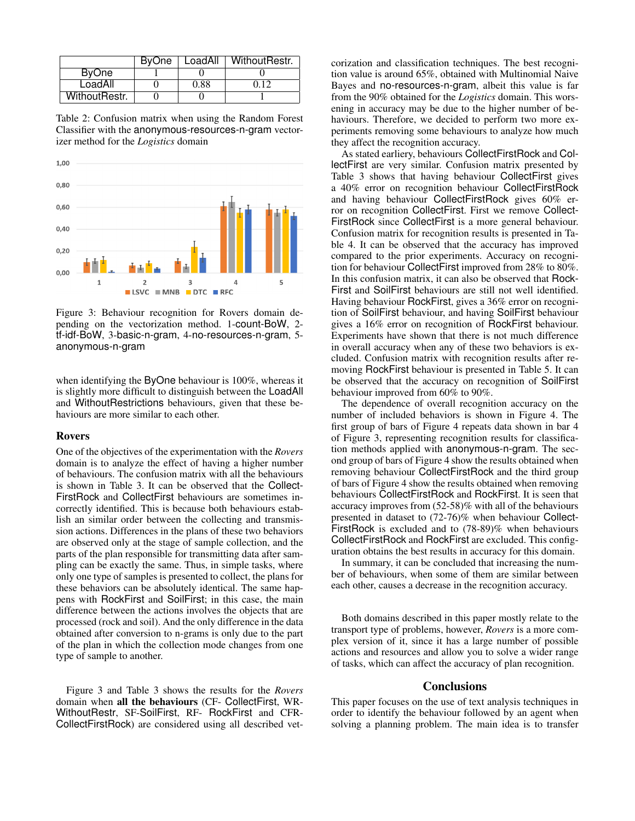|               | BvOne | LoadAll | WithoutRestr. |
|---------------|-------|---------|---------------|
| <b>ByOne</b>  |       |         |               |
| LoadAll       |       | 0.88    | በ 12          |
| WithoutRestr. |       |         |               |

Table 2: Confusion matrix when using the Random Forest Classifier with the anonymous-resources-n-gram vectorizer method for the *Logistics* domain



Figure 3: Behaviour recognition for Rovers domain depending on the vectorization method. 1-count-BoW, 2 tf-idf-BoW, 3-basic-n-gram, 4-no-resources-n-gram, 5 anonymous-n-gram

when identifying the ByOne behaviour is 100%, whereas it is slightly more difficult to distinguish between the LoadAll and WithoutRestrictions behaviours, given that these behaviours are more similar to each other.

#### Rovers

One of the objectives of the experimentation with the *Rovers* domain is to analyze the effect of having a higher number of behaviours. The confusion matrix with all the behaviours is shown in Table 3. It can be observed that the Collect-FirstRock and CollectFirst behaviours are sometimes incorrectly identified. This is because both behaviours establish an similar order between the collecting and transmission actions. Differences in the plans of these two behaviors are observed only at the stage of sample collection, and the parts of the plan responsible for transmitting data after sampling can be exactly the same. Thus, in simple tasks, where only one type of samples is presented to collect, the plans for these behaviors can be absolutely identical. The same happens with RockFirst and SoilFirst; in this case, the main difference between the actions involves the objects that are processed (rock and soil). And the only difference in the data obtained after conversion to n-grams is only due to the part of the plan in which the collection mode changes from one type of sample to another.

Figure 3 and Table 3 shows the results for the *Rovers* domain when all the behaviours (CF- CollectFirst, WR-WithoutRestr, SF-SoilFirst, RF- RockFirst and CFR-CollectFirstRock) are considered using all described vet-

corization and classification techniques. The best recognition value is around 65%, obtained with Multinomial Naive Bayes and no-resources-n-gram, albeit this value is far from the 90% obtained for the *Logistics* domain. This worsening in accuracy may be due to the higher number of behaviours. Therefore, we decided to perform two more experiments removing some behaviours to analyze how much they affect the recognition accuracy.

As stated earliery, behaviours CollectFirstRock and CollectFirst are very similar. Confusion matrix presented by Table 3 shows that having behaviour CollectFirst gives a 40% error on recognition behaviour CollectFirstRock and having behaviour CollectFirstRock gives 60% error on recognition CollectFirst. First we remove Collect-FirstRock since CollectFirst is a more general behaviour. Confusion matrix for recognition results is presented in Table 4. It can be observed that the accuracy has improved compared to the prior experiments. Accuracy on recognition for behaviour CollectFirst improved from 28% to 80%. In this confusion matrix, it can also be observed that Rock-First and SoilFirst behaviours are still not well identified. Having behaviour RockFirst, gives a 36% error on recognition of SoilFirst behaviour, and having SoilFirst behaviour gives a 16% error on recognition of RockFirst behaviour. Experiments have shown that there is not much difference in overall accuracy when any of these two behaviors is excluded. Confusion matrix with recognition results after removing RockFirst behaviour is presented in Table 5. It can be observed that the accuracy on recognition of SoilFirst behaviour improved from 60% to 90%.

The dependence of overall recognition accuracy on the number of included behaviors is shown in Figure 4. The first group of bars of Figure 4 repeats data shown in bar 4 of Figure 3, representing recognition results for classification methods applied with anonymous-n-gram. The second group of bars of Figure 4 show the results obtained when removing behaviour CollectFirstRock and the third group of bars of Figure 4 show the results obtained when removing behaviours CollectFirstRock and RockFirst. It is seen that accuracy improves from (52-58)% with all of the behaviours presented in dataset to (72-76)% when behaviour Collect-FirstRock is excluded and to (78-89)% when behaviours CollectFirstRock and RockFirst are excluded. This configuration obtains the best results in accuracy for this domain.

In summary, it can be concluded that increasing the number of behaviours, when some of them are similar between each other, causes a decrease in the recognition accuracy.

Both domains described in this paper mostly relate to the transport type of problems, however, *Rovers* is a more complex version of it, since it has a large number of possible actions and resources and allow you to solve a wider range of tasks, which can affect the accuracy of plan recognition.

#### **Conclusions**

This paper focuses on the use of text analysis techniques in order to identify the behaviour followed by an agent when solving a planning problem. The main idea is to transfer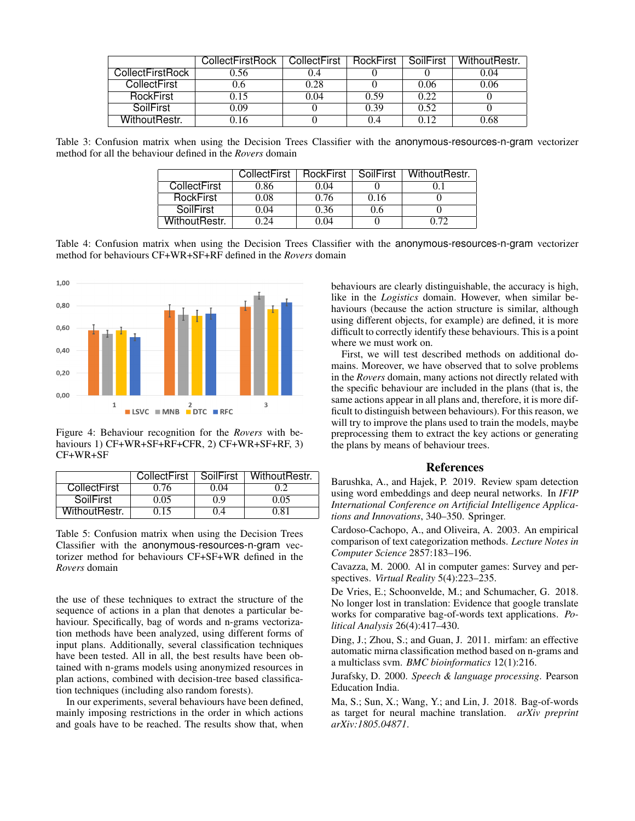|                  | CollectFirstRock | CollectFirst | <b>RockFirst</b> | SoilFirst | WithoutRestr. |
|------------------|------------------|--------------|------------------|-----------|---------------|
| CollectFirstRock | 0.56             | 0.4          |                  |           | 0.04          |
| CollectFirst     | .).6             | 0.28         |                  | 0.06      | 0.06          |
| <b>RockFirst</b> | 1.15             | 0.04         | 0.59             | 0.22      |               |
| SoilFirst        | 0.09             |              | 0.39             | 0.52      |               |
| WithoutRestr.    | 0.16             |              | 0.4              | N 12      | 0.68          |

Table 3: Confusion matrix when using the Decision Trees Classifier with the anonymous-resources-n-gram vectorizer method for all the behaviour defined in the *Rovers* domain

|                     | CollectFirst | RockFirst | SoilFirst | WithoutRestr. |
|---------------------|--------------|-----------|-----------|---------------|
| <b>CollectFirst</b> | 0.86         | 0.04      |           |               |
| <b>RockFirst</b>    | 0.08         | 0.76      | 0.16      |               |
| SoilFirst           | 0.04         | 0.36      | 0.6       |               |
| WithoutRestr.       |              | 0.04      |           |               |

Table 4: Confusion matrix when using the Decision Trees Classifier with the anonymous-resources-n-gram vectorizer method for behaviours CF+WR+SF+RF defined in the *Rovers* domain



Figure 4: Behaviour recognition for the *Rovers* with behaviours 1) CF+WR+SF+RF+CFR, 2) CF+WR+SF+RF, 3) CF+WR+SF

|               | CollectFirst | SoilFirst | WithoutRestr. |
|---------------|--------------|-----------|---------------|
| CollectFirst  | 0.76         | 0 04      | 02            |
| SoilFirst     | 0.05         | 0.9       | 0.05          |
| WithoutRestr. | 0.15         | 04        | 0.81          |

Table 5: Confusion matrix when using the Decision Trees Classifier with the anonymous-resources-n-gram vectorizer method for behaviours CF+SF+WR defined in the *Rovers* domain

the use of these techniques to extract the structure of the sequence of actions in a plan that denotes a particular behaviour. Specifically, bag of words and n-grams vectorization methods have been analyzed, using different forms of input plans. Additionally, several classification techniques have been tested. All in all, the best results have been obtained with n-grams models using anonymized resources in plan actions, combined with decision-tree based classification techniques (including also random forests).

In our experiments, several behaviours have been defined, mainly imposing restrictions in the order in which actions and goals have to be reached. The results show that, when

behaviours are clearly distinguishable, the accuracy is high, like in the *Logistics* domain. However, when similar behaviours (because the action structure is similar, although using different objects, for example) are defined, it is more difficult to correctly identify these behaviours. This is a point where we must work on.

First, we will test described methods on additional domains. Moreover, we have observed that to solve problems in the *Rovers* domain, many actions not directly related with the specific behaviour are included in the plans (that is, the same actions appear in all plans and, therefore, it is more difficult to distinguish between behaviours). For this reason, we will try to improve the plans used to train the models, maybe preprocessing them to extract the key actions or generating the plans by means of behaviour trees.

## References

Barushka, A., and Hajek, P. 2019. Review spam detection using word embeddings and deep neural networks. In *IFIP International Conference on Artificial Intelligence Applications and Innovations*, 340–350. Springer.

Cardoso-Cachopo, A., and Oliveira, A. 2003. An empirical comparison of text categorization methods. *Lecture Notes in Computer Science* 2857:183–196.

Cavazza, M. 2000. Al in computer games: Survey and perspectives. *Virtual Reality* 5(4):223–235.

De Vries, E.; Schoonvelde, M.; and Schumacher, G. 2018. No longer lost in translation: Evidence that google translate works for comparative bag-of-words text applications. *Political Analysis* 26(4):417–430.

Ding, J.; Zhou, S.; and Guan, J. 2011. mirfam: an effective automatic mirna classification method based on n-grams and a multiclass svm. *BMC bioinformatics* 12(1):216.

Jurafsky, D. 2000. *Speech & language processing*. Pearson Education India.

Ma, S.; Sun, X.; Wang, Y.; and Lin, J. 2018. Bag-of-words as target for neural machine translation. *arXiv preprint arXiv:1805.04871*.